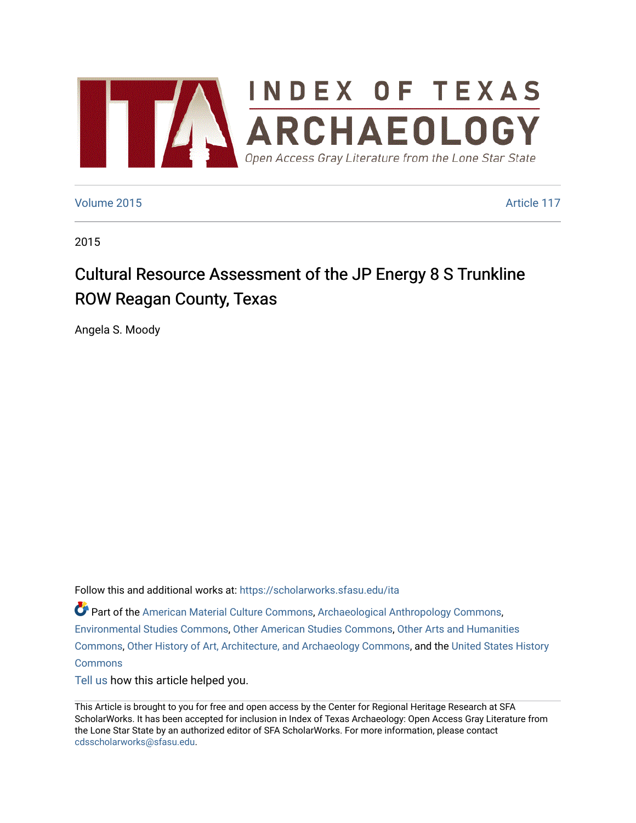

#### [Volume 2015](https://scholarworks.sfasu.edu/ita/vol2015) **Article 117**

2015

# Cultural Resource Assessment of the JP Energy 8 S Trunkline ROW Reagan County, Texas

Angela S. Moody

Follow this and additional works at: [https://scholarworks.sfasu.edu/ita](https://scholarworks.sfasu.edu/ita?utm_source=scholarworks.sfasu.edu%2Fita%2Fvol2015%2Fiss1%2F117&utm_medium=PDF&utm_campaign=PDFCoverPages) 

Part of the [American Material Culture Commons,](http://network.bepress.com/hgg/discipline/442?utm_source=scholarworks.sfasu.edu%2Fita%2Fvol2015%2Fiss1%2F117&utm_medium=PDF&utm_campaign=PDFCoverPages) [Archaeological Anthropology Commons,](http://network.bepress.com/hgg/discipline/319?utm_source=scholarworks.sfasu.edu%2Fita%2Fvol2015%2Fiss1%2F117&utm_medium=PDF&utm_campaign=PDFCoverPages) [Environmental Studies Commons,](http://network.bepress.com/hgg/discipline/1333?utm_source=scholarworks.sfasu.edu%2Fita%2Fvol2015%2Fiss1%2F117&utm_medium=PDF&utm_campaign=PDFCoverPages) [Other American Studies Commons](http://network.bepress.com/hgg/discipline/445?utm_source=scholarworks.sfasu.edu%2Fita%2Fvol2015%2Fiss1%2F117&utm_medium=PDF&utm_campaign=PDFCoverPages), [Other Arts and Humanities](http://network.bepress.com/hgg/discipline/577?utm_source=scholarworks.sfasu.edu%2Fita%2Fvol2015%2Fiss1%2F117&utm_medium=PDF&utm_campaign=PDFCoverPages) [Commons](http://network.bepress.com/hgg/discipline/577?utm_source=scholarworks.sfasu.edu%2Fita%2Fvol2015%2Fiss1%2F117&utm_medium=PDF&utm_campaign=PDFCoverPages), [Other History of Art, Architecture, and Archaeology Commons,](http://network.bepress.com/hgg/discipline/517?utm_source=scholarworks.sfasu.edu%2Fita%2Fvol2015%2Fiss1%2F117&utm_medium=PDF&utm_campaign=PDFCoverPages) and the [United States History](http://network.bepress.com/hgg/discipline/495?utm_source=scholarworks.sfasu.edu%2Fita%2Fvol2015%2Fiss1%2F117&utm_medium=PDF&utm_campaign=PDFCoverPages)  **[Commons](http://network.bepress.com/hgg/discipline/495?utm_source=scholarworks.sfasu.edu%2Fita%2Fvol2015%2Fiss1%2F117&utm_medium=PDF&utm_campaign=PDFCoverPages)** 

[Tell us](http://sfasu.qualtrics.com/SE/?SID=SV_0qS6tdXftDLradv) how this article helped you.

This Article is brought to you for free and open access by the Center for Regional Heritage Research at SFA ScholarWorks. It has been accepted for inclusion in Index of Texas Archaeology: Open Access Gray Literature from the Lone Star State by an authorized editor of SFA ScholarWorks. For more information, please contact [cdsscholarworks@sfasu.edu.](mailto:cdsscholarworks@sfasu.edu)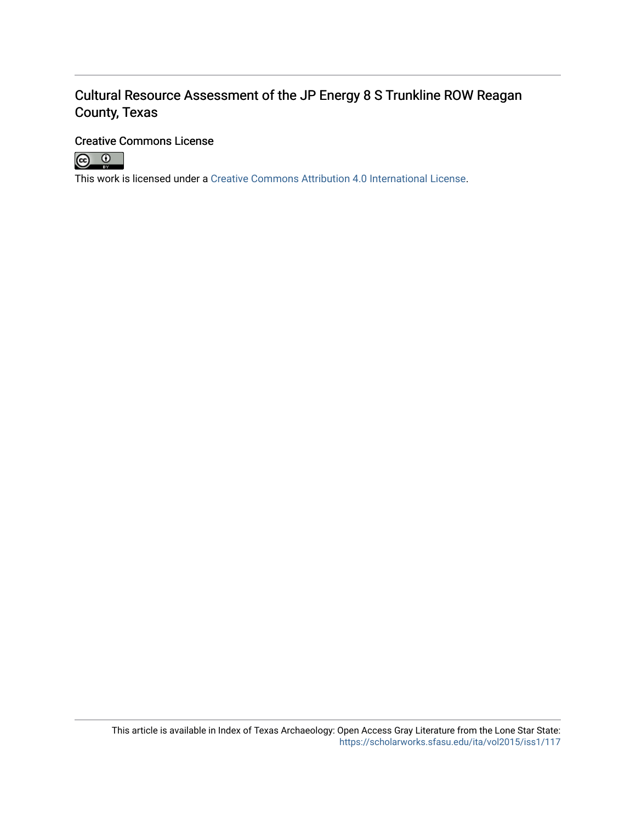# Cultural Resource Assessment of the JP Energy 8 S Trunkline ROW Reagan County, Texas

#### Creative Commons License



This work is licensed under a [Creative Commons Attribution 4.0 International License.](https://creativecommons.org/licenses/by/4.0/)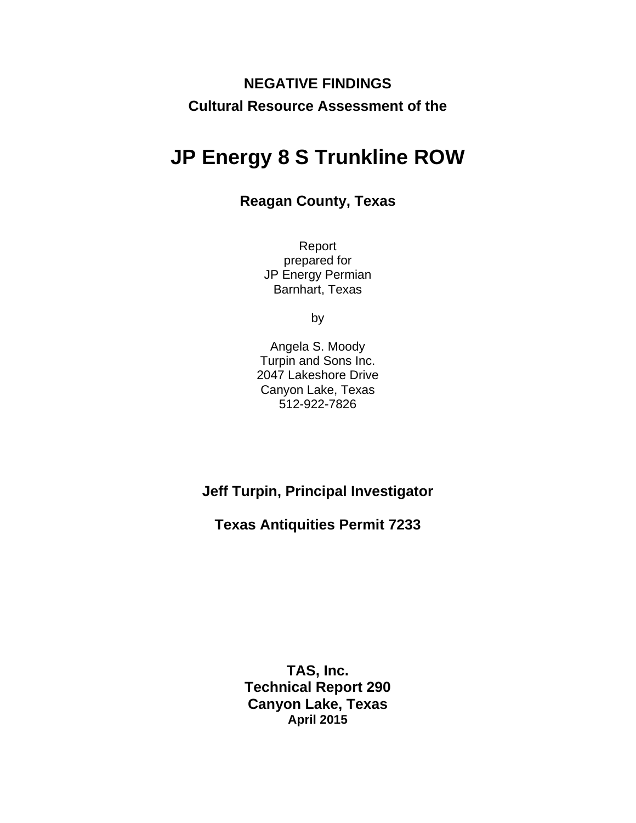# **NEGATIVE FINDINGS Cultural Resource Assessment of the**

# **JP Energy 8 S Trunkline ROW**

## **Reagan County, Texas**

Report prepared for JP Energy Permian Barnhart, Texas

by

Angela S. Moody Turpin and Sons Inc. 2047 Lakeshore Drive Canyon Lake, Texas 512-922-7826

**Jeff Turpin, Principal Investigator** 

**Texas Antiquities Permit 7233** 

**TAS, Inc. Technical Report 290 Canyon Lake, Texas April 2015**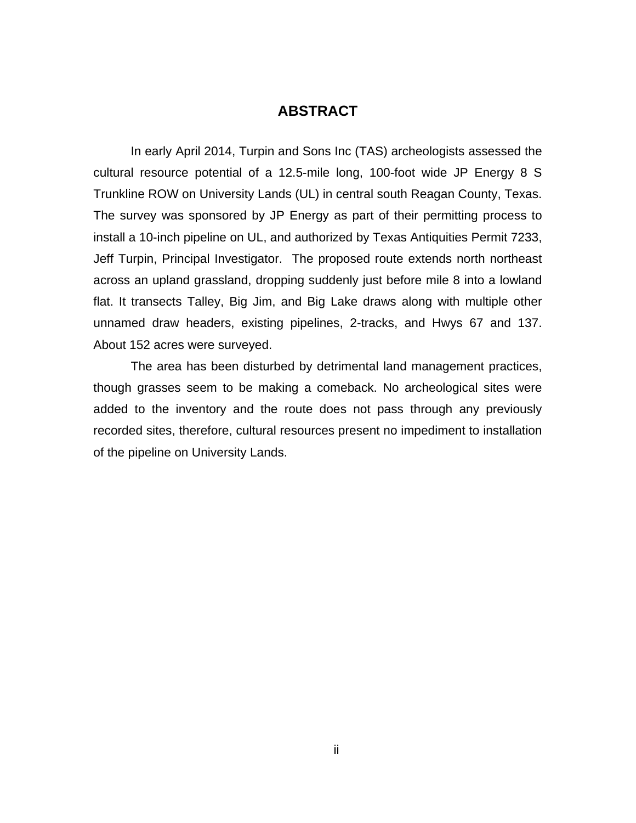### **ABSTRACT**

<span id="page-3-0"></span>In early April 2014, Turpin and Sons Inc (TAS) archeologists assessed the cultural resource potential of a 12.5-mile long, 100-foot wide JP Energy 8 S Trunkline ROW on University Lands (UL) in central south Reagan County, Texas. The survey was sponsored by JP Energy as part of their permitting process to install a 10-inch pipeline on UL, and authorized by Texas Antiquities Permit 7233, Jeff Turpin, Principal Investigator. The proposed route extends north northeast across an upland grassland, dropping suddenly just before mile 8 into a lowland flat. It transects Talley, Big Jim, and Big Lake draws along with multiple other unnamed draw headers, existing pipelines, 2-tracks, and Hwys 67 and 137. About 152 acres were surveyed.

The area has been disturbed by detrimental land management practices, though grasses seem to be making a comeback. No archeological sites were added to the inventory and the route does not pass through any previously recorded sites, therefore, cultural resources present no impediment to installation of the pipeline on University Lands.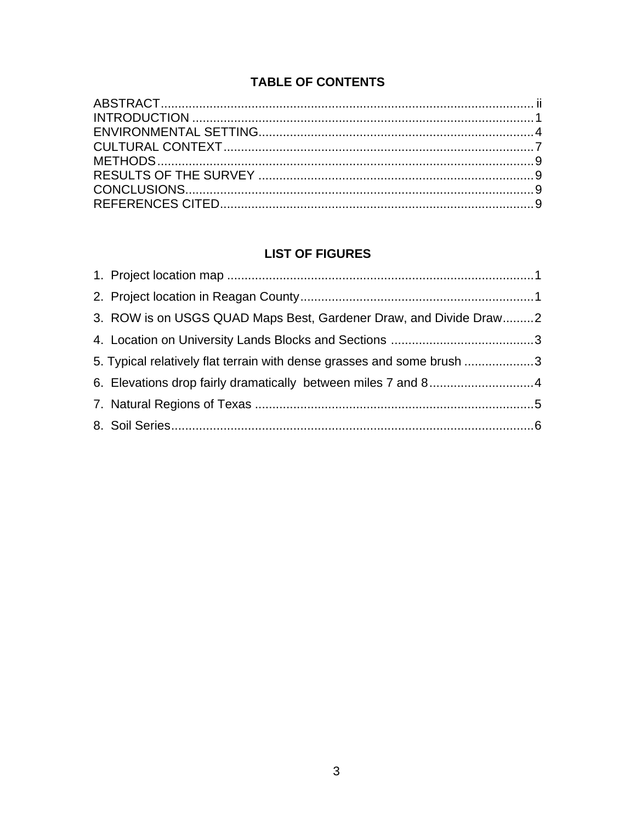# **TABLE OF CONTENTS**

## **LIST OF FIGURES**

| 3. ROW is on USGS QUAD Maps Best, Gardener Draw, and Divide Draw2      |  |
|------------------------------------------------------------------------|--|
|                                                                        |  |
| 5. Typical relatively flat terrain with dense grasses and some brush 3 |  |
|                                                                        |  |
|                                                                        |  |
|                                                                        |  |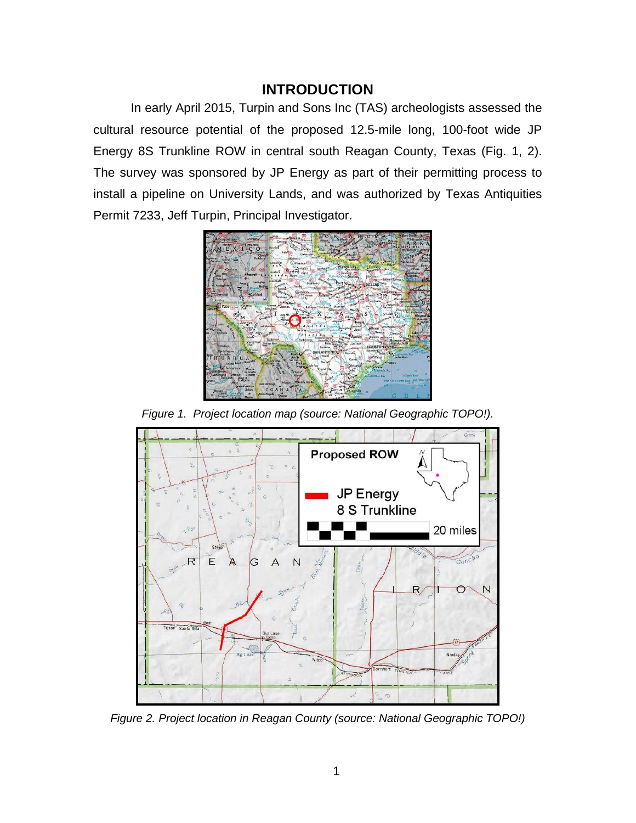## **INTRODUCTION**

<span id="page-5-0"></span>In early April 2015, Turpin and Sons Inc (TAS) archeologists assessed the cultural resource potential of the proposed 12.5-mile long, 100-foot wide JP Energy 8S Trunkline ROW in central south Reagan County, Texas (Fig. 1, 2). The survey was sponsored by JP Energy as part of their permitting process to install a pipeline on University Lands, and was authorized by Texas Antiquities Permit 7233, Jeff Turpin, Principal Investigator.



*Figure 1. Project location map (source: National Geographic TOPO!).* 

<span id="page-5-1"></span>

<span id="page-5-2"></span>*Figure 2. Project location in Reagan County (source: National Geographic TOPO!)*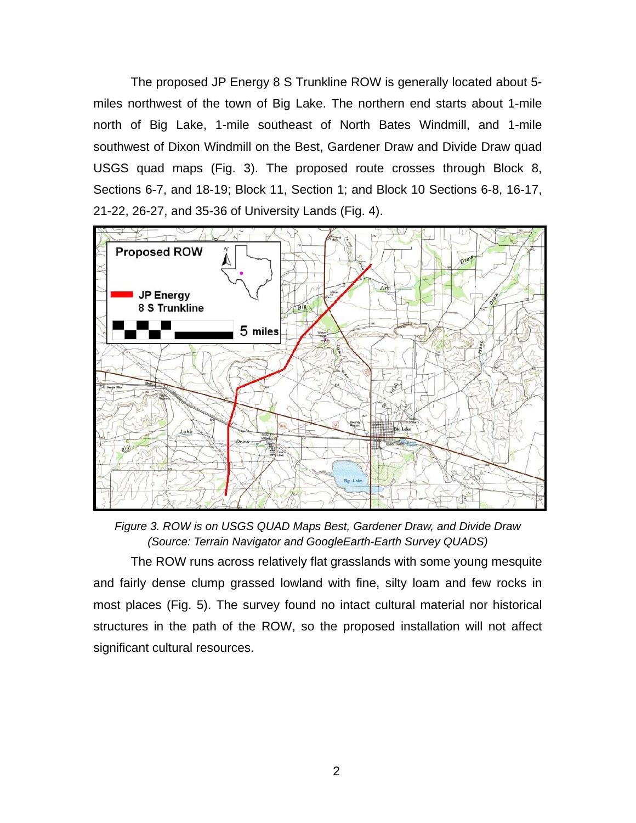The proposed JP Energy 8 S Trunkline ROW is generally located about 5 miles northwest of the town of Big Lake. The northern end starts about 1-mile north of Big Lake, 1-mile southeast of North Bates Windmill, and 1-mile southwest of Dixon Windmill on the Best, Gardener Draw and Divide Draw quad USGS quad maps (Fig. 3). The proposed route crosses through Block 8, Sections 6-7, and 18-19; Block 11, Section 1; and Block 10 Sections 6-8, 16-17, 21-22, 26-27, and 35-36 of University Lands (Fig. 4).



*Figure 3. ROW is on USGS QUAD Maps Best, Gardener Draw, and Divide Draw (Source: Terrain Navigator and GoogleEarth-Earth Survey QUADS)* 

<span id="page-6-0"></span>The ROW runs across relatively flat grasslands with some young mesquite and fairly dense clump grassed lowland with fine, silty loam and few rocks in most places (Fig. 5). The survey found no intact cultural material nor historical structures in the path of the ROW, so the proposed installation will not affect significant cultural resources.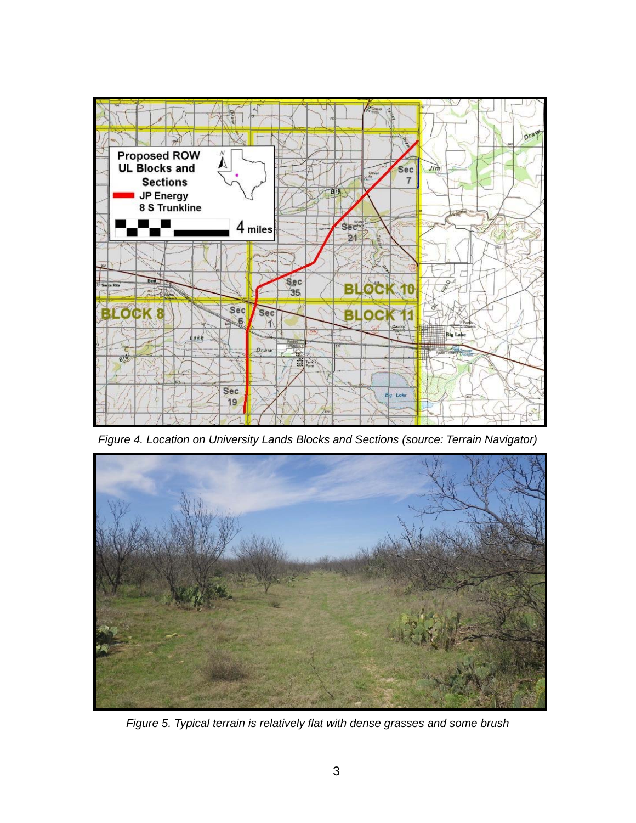

*Figure 4. Location on University Lands Blocks and Sections (source: Terrain Navigator)* 

<span id="page-7-1"></span><span id="page-7-0"></span>

*Figure 5. Typical terrain is relatively flat with dense grasses and some brush*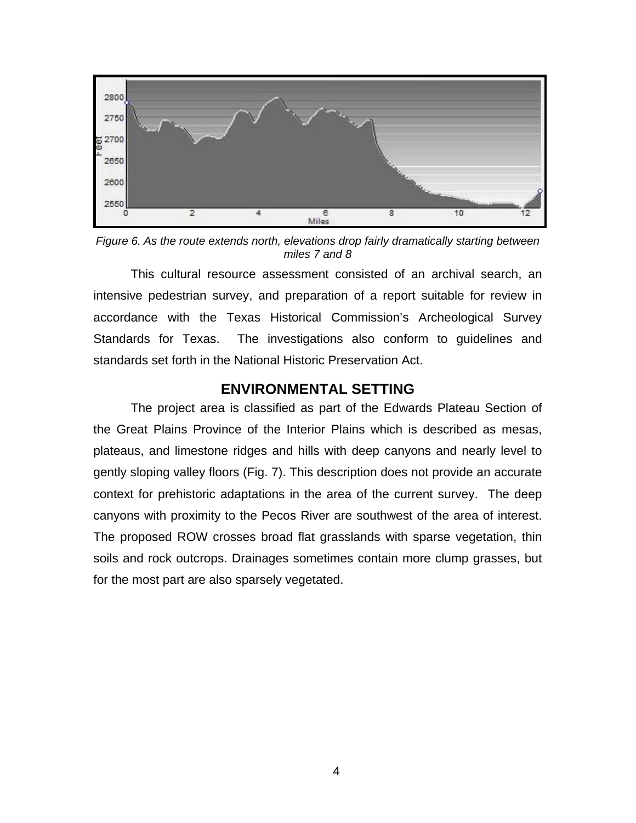

<span id="page-8-1"></span>*Figure 6. As the route extends north, elevations drop fairly dramatically starting between miles 7 and 8* 

This cultural resource assessment consisted of an archival search, an intensive pedestrian survey, and preparation of a report suitable for review in accordance with the Texas Historical Commission's Archeological Survey Standards for Texas. The investigations also conform to guidelines and standards set forth in the National Historic Preservation Act.

#### **ENVIRONMENTAL SETTING**

<span id="page-8-0"></span>The project area is classified as part of the Edwards Plateau Section of the Great Plains Province of the Interior Plains which is described as mesas, plateaus, and limestone ridges and hills with deep canyons and nearly level to gently sloping valley floors (Fig. 7). This description does not provide an accurate context for prehistoric adaptations in the area of the current survey. The deep canyons with proximity to the Pecos River are southwest of the area of interest. The proposed ROW crosses broad flat grasslands with sparse vegetation, thin soils and rock outcrops. Drainages sometimes contain more clump grasses, but for the most part are also sparsely vegetated.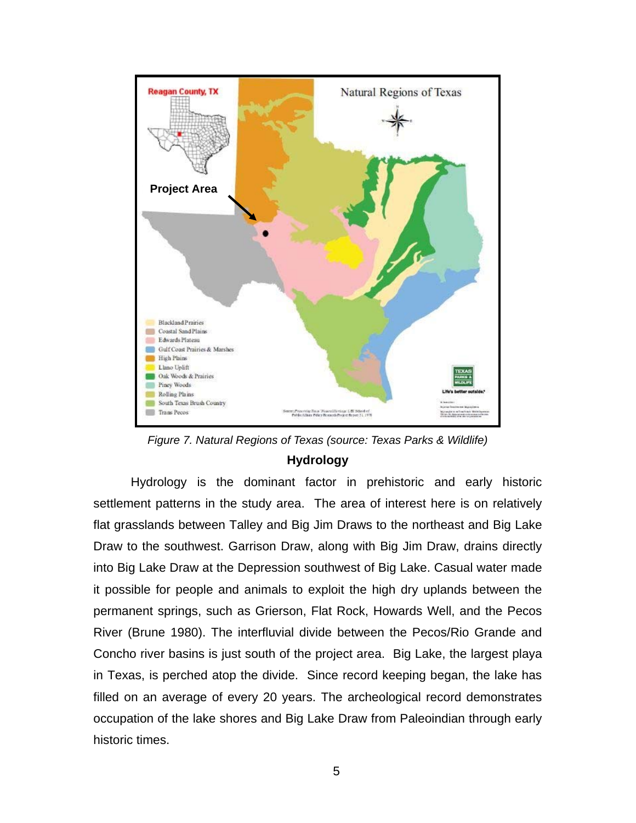

*Figure 7. Natural Regions of Texas (source: Texas Parks & Wildlife)*  **Hydrology**

<span id="page-9-0"></span>Hydrology is the dominant factor in prehistoric and early historic settlement patterns in the study area. The area of interest here is on relatively flat grasslands between Talley and Big Jim Draws to the northeast and Big Lake Draw to the southwest. Garrison Draw, along with Big Jim Draw, drains directly into Big Lake Draw at the Depression southwest of Big Lake. Casual water made it possible for people and animals to exploit the high dry uplands between the permanent springs, such as Grierson, Flat Rock, Howards Well, and the Pecos River (Brune 1980). The interfluvial divide between the Pecos/Rio Grande and Concho river basins is just south of the project area. Big Lake, the largest playa in Texas, is perched atop the divide. Since record keeping began, the lake has filled on an average of every 20 years. The archeological record demonstrates occupation of the lake shores and Big Lake Draw from Paleoindian through early historic times.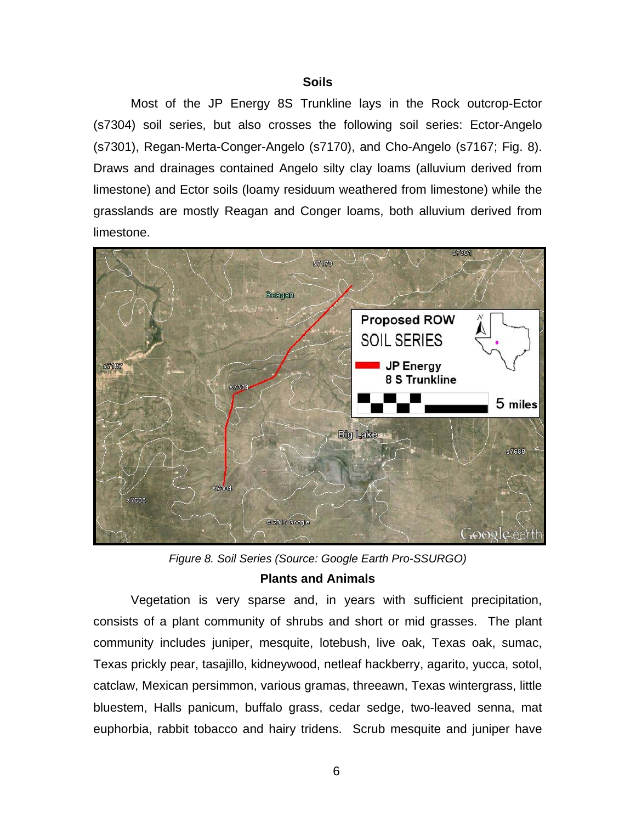#### **Soils**

 Most of the JP Energy 8S Trunkline lays in the Rock outcrop-Ector (s7304) soil series, but also crosses the following soil series: Ector-Angelo (s7301), Regan-Merta-Conger-Angelo (s7170), and Cho-Angelo (s7167; Fig. 8). Draws and drainages contained Angelo silty clay loams (alluvium derived from limestone) and Ector soils (loamy residuum weathered from limestone) while the grasslands are mostly Reagan and Conger loams, both alluvium derived from limestone.



*Figure 8. Soil Series (Source: Google Earth Pro-SSURGO)* 

#### **Plants and Animals**

<span id="page-10-0"></span>Vegetation is very sparse and, in years with sufficient precipitation, consists of a plant community of shrubs and short or mid grasses. The plant community includes juniper, mesquite, lotebush, live oak, Texas oak, sumac, Texas prickly pear, tasajillo, kidneywood, netleaf hackberry, agarito, yucca, sotol, catclaw, Mexican persimmon, various gramas, threeawn, Texas wintergrass, little bluestem, Halls panicum, buffalo grass, cedar sedge, two-leaved senna, mat euphorbia, rabbit tobacco and hairy tridens. Scrub mesquite and juniper have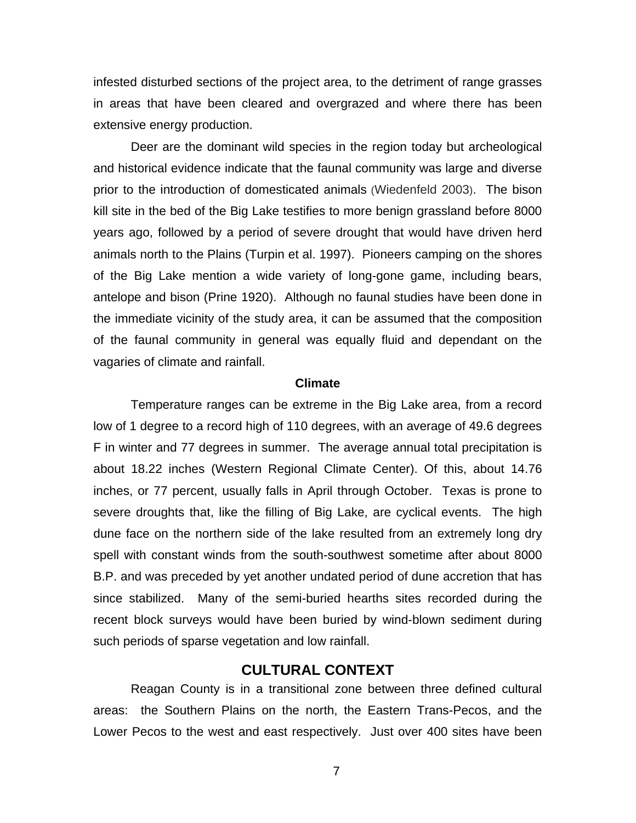infested disturbed sections of the project area, to the detriment of range grasses in areas that have been cleared and overgrazed and where there has been extensive energy production.

Deer are the dominant wild species in the region today but archeological and historical evidence indicate that the faunal community was large and diverse prior to the introduction of domesticated animals (Wiedenfeld 2003). The bison kill site in the bed of the Big Lake testifies to more benign grassland before 8000 years ago, followed by a period of severe drought that would have driven herd animals north to the Plains (Turpin et al. 1997). Pioneers camping on the shores of the Big Lake mention a wide variety of long-gone game, including bears, antelope and bison (Prine 1920). Although no faunal studies have been done in the immediate vicinity of the study area, it can be assumed that the composition of the faunal community in general was equally fluid and dependant on the vagaries of climate and rainfall.

#### **Climate**

Temperature ranges can be extreme in the Big Lake area, from a record low of 1 degree to a record high of 110 degrees, with an average of 49.6 degrees F in winter and 77 degrees in summer. The average annual total precipitation is about 18.22 inches (Western Regional Climate Center). Of this, about 14.76 inches, or 77 percent, usually falls in April through October. Texas is prone to severe droughts that, like the filling of Big Lake, are cyclical events. The high dune face on the northern side of the lake resulted from an extremely long dry spell with constant winds from the south-southwest sometime after about 8000 B.P. and was preceded by yet another undated period of dune accretion that has since stabilized. Many of the semi-buried hearths sites recorded during the recent block surveys would have been buried by wind-blown sediment during such periods of sparse vegetation and low rainfall.

#### **CULTURAL CONTEXT**

<span id="page-11-0"></span>Reagan County is in a transitional zone between three defined cultural areas: the Southern Plains on the north, the Eastern Trans-Pecos, and the Lower Pecos to the west and east respectively. Just over 400 sites have been

7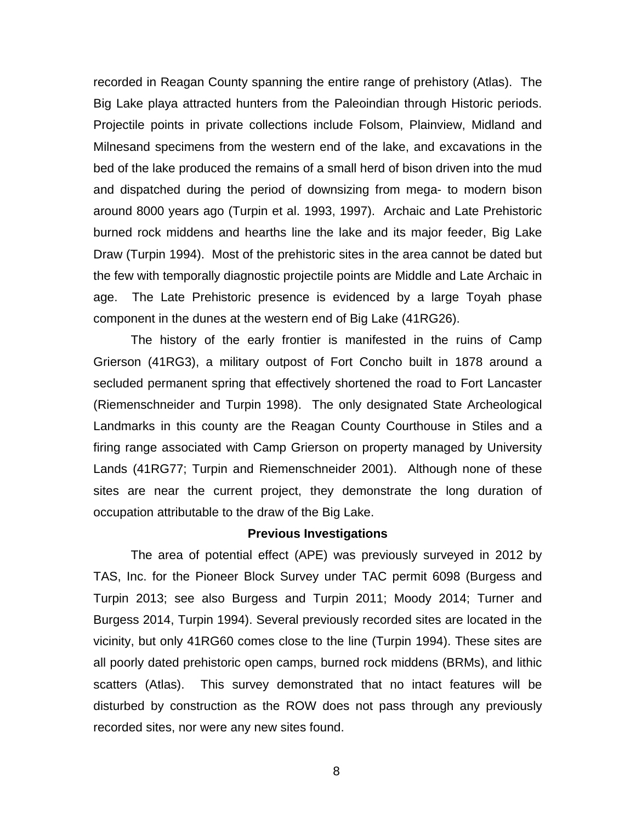recorded in Reagan County spanning the entire range of prehistory (Atlas). The Big Lake playa attracted hunters from the Paleoindian through Historic periods. Projectile points in private collections include Folsom, Plainview, Midland and Milnesand specimens from the western end of the lake, and excavations in the bed of the lake produced the remains of a small herd of bison driven into the mud and dispatched during the period of downsizing from mega- to modern bison around 8000 years ago (Turpin et al. 1993, 1997). Archaic and Late Prehistoric burned rock middens and hearths line the lake and its major feeder, Big Lake Draw (Turpin 1994). Most of the prehistoric sites in the area cannot be dated but the few with temporally diagnostic projectile points are Middle and Late Archaic in age. The Late Prehistoric presence is evidenced by a large Toyah phase component in the dunes at the western end of Big Lake (41RG26).

The history of the early frontier is manifested in the ruins of Camp Grierson (41RG3), a military outpost of Fort Concho built in 1878 around a secluded permanent spring that effectively shortened the road to Fort Lancaster (Riemenschneider and Turpin 1998). The only designated State Archeological Landmarks in this county are the Reagan County Courthouse in Stiles and a firing range associated with Camp Grierson on property managed by University Lands (41RG77; Turpin and Riemenschneider 2001). Although none of these sites are near the current project, they demonstrate the long duration of occupation attributable to the draw of the Big Lake.

#### **Previous Investigations**

The area of potential effect (APE) was previously surveyed in 2012 by TAS, Inc. for the Pioneer Block Survey under TAC permit 6098 (Burgess and Turpin 2013; see also Burgess and Turpin 2011; Moody 2014; Turner and Burgess 2014, Turpin 1994). Several previously recorded sites are located in the vicinity, but only 41RG60 comes close to the line (Turpin 1994). These sites are all poorly dated prehistoric open camps, burned rock middens (BRMs), and lithic scatters (Atlas). This survey demonstrated that no intact features will be disturbed by construction as the ROW does not pass through any previously recorded sites, nor were any new sites found.

8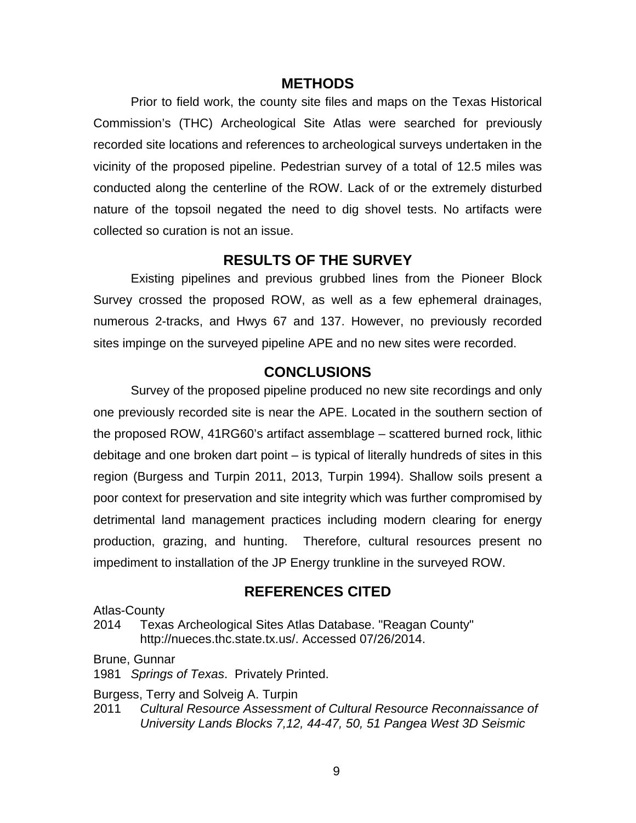### **METHODS**

<span id="page-13-0"></span>Prior to field work, the county site files and maps on the Texas Historical Commission's (THC) Archeological Site Atlas were searched for previously recorded site locations and references to archeological surveys undertaken in the vicinity of the proposed pipeline. Pedestrian survey of a total of 12.5 miles was conducted along the centerline of the ROW. Lack of or the extremely disturbed nature of the topsoil negated the need to dig shovel tests. No artifacts were collected so curation is not an issue.

## **RESULTS OF THE SURVEY**

<span id="page-13-1"></span>Existing pipelines and previous grubbed lines from the Pioneer Block Survey crossed the proposed ROW, as well as a few ephemeral drainages, numerous 2-tracks, and Hwys 67 and 137. However, no previously recorded sites impinge on the surveyed pipeline APE and no new sites were recorded.

### **CONCLUSIONS**

<span id="page-13-2"></span>Survey of the proposed pipeline produced no new site recordings and only one previously recorded site is near the APE. Located in the southern section of the proposed ROW, 41RG60's artifact assemblage – scattered burned rock, lithic debitage and one broken dart point – is typical of literally hundreds of sites in this region (Burgess and Turpin 2011, 2013, Turpin 1994). Shallow soils present a poor context for preservation and site integrity which was further compromised by detrimental land management practices including modern clearing for energy production, grazing, and hunting. Therefore, cultural resources present no impediment to installation of the JP Energy trunkline in the surveyed ROW.

### **REFERENCES CITED**

<span id="page-13-3"></span>Atlas-County

2014 Texas Archeological Sites Atlas Database. "Reagan County" <http://nueces.thc.state.tx.us/>. Accessed 07/26/2014.

Brune, Gunnar

1981 *Springs of Texas*. Privately Printed.

Burgess, Terry and Solveig A. Turpin

2011 *Cultural Resource Assessment of Cultural Resource Reconnaissance of University Lands Blocks 7,12, 44-47, 50, 51 Pangea West 3D Seismic*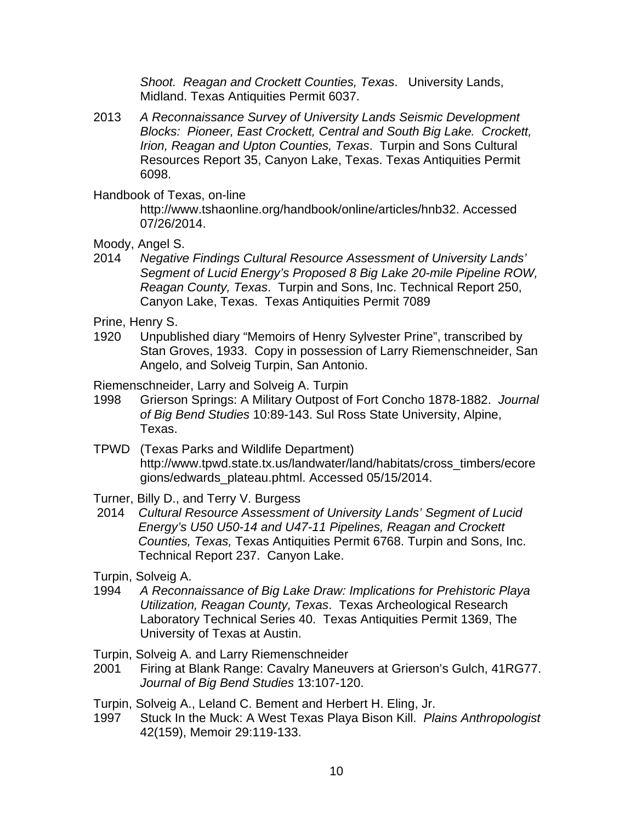*Shoot. Reagan and Crockett Counties, Texas*. University Lands, Midland. Texas Antiquities Permit 6037.

2013 *A Reconnaissance Survey of University Lands Seismic Development Blocks: Pioneer, East Crockett, Central and South Big Lake. Crockett, Irion, Reagan and Upton Counties, Texas*. Turpin and Sons Cultural Resources Report 35, Canyon Lake, Texas. Texas Antiquities Permit 6098.

Handbook of Texas, on-line

 http://www.tshaonline.org/handbook/online/articles/hnb32. Accessed 07/26/2014.

Moody, Angel S.

2014 *Negative Findings Cultural Resource Assessment of University Lands' Segment of Lucid Energy's Proposed 8 Big Lake 20-mile Pipeline ROW, Reagan County, Texas*. Turpin and Sons, Inc. Technical Report 250, Canyon Lake, Texas. Texas Antiquities Permit 7089

Prine, Henry S.

1920 Unpublished diary "Memoirs of Henry Sylvester Prine", transcribed by Stan Groves, 1933. Copy in possession of Larry Riemenschneider, San Angelo, and Solveig Turpin, San Antonio.

Riemenschneider, Larry and Solveig A. Turpin

- 1998 Grierson Springs: A Military Outpost of Fort Concho 1878-1882. *Journal of Big Bend Studies* 10:89-143. Sul Ross State University, Alpine, Texas.
- TPWD (Texas Parks and Wildlife Department) http://www.tpwd.state.tx.us/landwater/land/habitats/cross\_timbers/ecore gions/edwards\_plateau.phtml. Accessed 05/15/2014.
- Turner, Billy D., and Terry V. Burgess
- 2014 *Cultural Resource Assessment of University Lands' Segment of Lucid Energy's U50 U50-14 and U47-11 Pipelines, Reagan and Crockett Counties, Texas,* Texas Antiquities Permit 6768. Turpin and Sons, Inc. Technical Report 237. Canyon Lake.

Turpin, Solveig A.

1994 *A Reconnaissance of Big Lake Draw: Implications for Prehistoric Playa Utilization, Reagan County, Texas*. Texas Archeological Research Laboratory Technical Series 40. Texas Antiquities Permit 1369, The University of Texas at Austin.

Turpin, Solveig A. and Larry Riemenschneider

- 2001 Firing at Blank Range: Cavalry Maneuvers at Grierson's Gulch, 41RG77. *Journal of Big Bend Studies* 13:107-120.
- Turpin, Solveig A., Leland C. Bement and Herbert H. Eling, Jr.
- 1997 Stuck In the Muck: A West Texas Playa Bison Kill. *Plains Anthropologist* 42(159), Memoir 29:119-133.